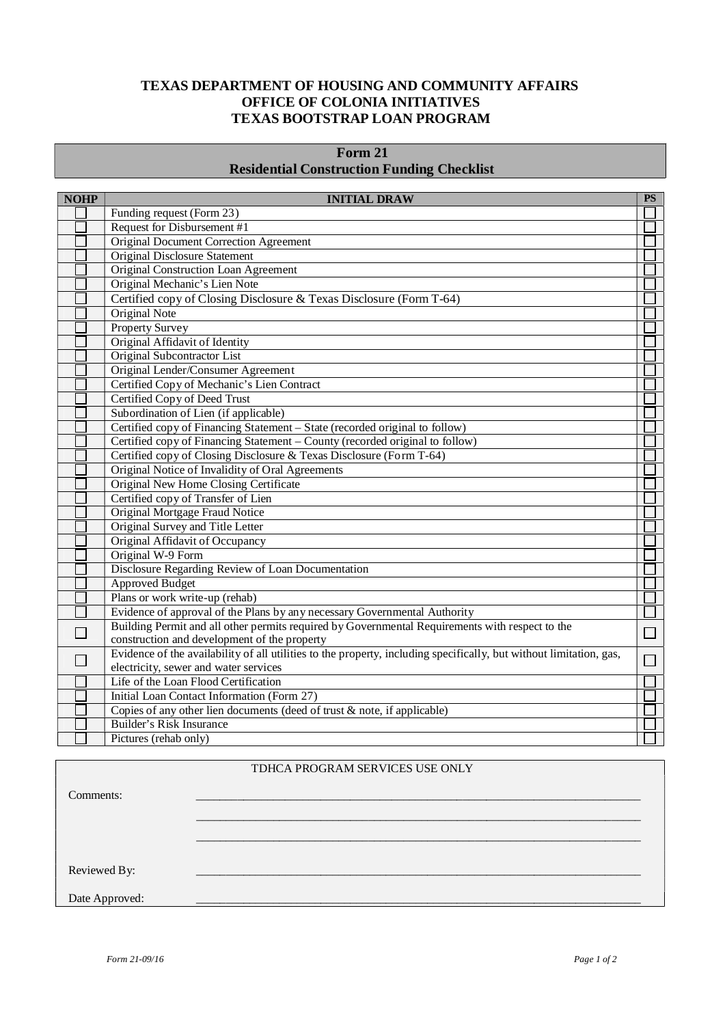#### **TEXAS DEPARTMENT OF HOUSING AND COMMUNITY AFFAIRS OFFICE OF COLONIA INITIATIVES TEXAS BOOTSTRAP LOAN PROGRAM**

# **Form 21 Residential Construction Funding Checklist**

| <b>NOHP</b> | <b>INITIAL DRAW</b>                                                                                                 | <b>PS</b> |
|-------------|---------------------------------------------------------------------------------------------------------------------|-----------|
|             | Funding request (Form 23)                                                                                           |           |
|             | Request for Disbursement #1                                                                                         |           |
|             | <b>Original Document Correction Agreement</b>                                                                       |           |
|             | <b>Original Disclosure Statement</b>                                                                                |           |
|             | Original Construction Loan Agreement                                                                                |           |
|             | Original Mechanic's Lien Note                                                                                       |           |
|             | Certified copy of Closing Disclosure & Texas Disclosure (Form T-64)                                                 |           |
|             | Original Note                                                                                                       |           |
|             | <b>Property Survey</b>                                                                                              |           |
|             | Original Affidavit of Identity                                                                                      |           |
|             | Original Subcontractor List                                                                                         |           |
|             | Original Lender/Consumer Agreement                                                                                  |           |
|             | Certified Copy of Mechanic's Lien Contract                                                                          |           |
|             | Certified Copy of Deed Trust                                                                                        |           |
|             | Subordination of Lien (if applicable)                                                                               |           |
|             | Certified copy of Financing Statement - State (recorded original to follow)                                         |           |
|             | Certified copy of Financing Statement – County (recorded original to follow)                                        |           |
|             | Certified copy of Closing Disclosure & Texas Disclosure (Form T-64)                                                 |           |
|             | Original Notice of Invalidity of Oral Agreements                                                                    |           |
|             | Original New Home Closing Certificate                                                                               |           |
|             | Certified copy of Transfer of Lien                                                                                  |           |
|             | Original Mortgage Fraud Notice                                                                                      |           |
|             | Original Survey and Title Letter                                                                                    |           |
|             | Original Affidavit of Occupancy                                                                                     |           |
|             | Original W-9 Form                                                                                                   |           |
|             | Disclosure Regarding Review of Loan Documentation                                                                   |           |
|             | <b>Approved Budget</b>                                                                                              |           |
|             | Plans or work write-up (rehab)                                                                                      |           |
|             | Evidence of approval of the Plans by any necessary Governmental Authority                                           |           |
|             | Building Permit and all other permits required by Governmental Requirements with respect to the                     | $\Box$    |
|             | construction and development of the property                                                                        |           |
|             | Evidence of the availability of all utilities to the property, including specifically, but without limitation, gas, |           |
|             | electricity, sewer and water services                                                                               |           |
|             | Life of the Loan Flood Certification                                                                                |           |
|             | Initial Loan Contact Information (Form 27)                                                                          |           |
|             | Copies of any other lien documents (deed of trust $\&$ note, if applicable)                                         |           |
|             | <b>Builder's Risk Insurance</b>                                                                                     |           |
|             | Pictures (rehab only)                                                                                               |           |

# TDHCA PROGRAM SERVICES USE ONLY

 $\mathcal{L}_\text{max} = \mathcal{L}_\text{max} = \mathcal{L}_\text{max} = \mathcal{L}_\text{max} = \mathcal{L}_\text{max} = \mathcal{L}_\text{max} = \mathcal{L}_\text{max} = \mathcal{L}_\text{max} = \mathcal{L}_\text{max} = \mathcal{L}_\text{max} = \mathcal{L}_\text{max} = \mathcal{L}_\text{max} = \mathcal{L}_\text{max} = \mathcal{L}_\text{max} = \mathcal{L}_\text{max} = \mathcal{L}_\text{max} = \mathcal{L}_\text{max} = \mathcal{L}_\text{max} = \mathcal{$  $\mathcal{L}_\text{max} = \mathcal{L}_\text{max} = \mathcal{L}_\text{max} = \mathcal{L}_\text{max} = \mathcal{L}_\text{max} = \mathcal{L}_\text{max} = \mathcal{L}_\text{max} = \mathcal{L}_\text{max} = \mathcal{L}_\text{max} = \mathcal{L}_\text{max} = \mathcal{L}_\text{max} = \mathcal{L}_\text{max} = \mathcal{L}_\text{max} = \mathcal{L}_\text{max} = \mathcal{L}_\text{max} = \mathcal{L}_\text{max} = \mathcal{L}_\text{max} = \mathcal{L}_\text{max} = \mathcal{$ 

Comments: \_\_\_\_\_\_\_\_\_\_\_\_\_\_\_\_\_\_\_\_\_\_\_\_\_\_\_\_\_\_\_\_\_\_\_\_\_\_\_\_\_\_\_\_\_\_\_\_\_\_\_\_\_\_\_\_\_\_\_\_\_\_\_\_\_\_\_\_\_\_\_\_\_\_\_

Reviewed By:

Date Approved: